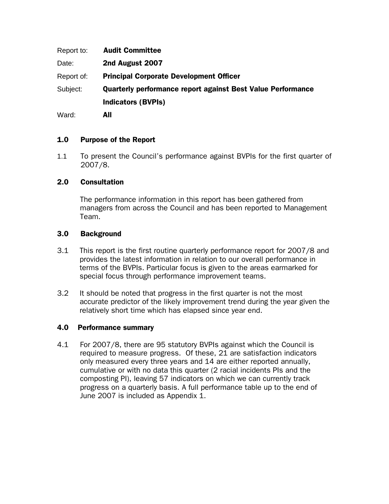| Report to: | <b>Audit Committee</b>                                             |
|------------|--------------------------------------------------------------------|
| Date:      | 2nd August 2007                                                    |
| Report of: | <b>Principal Corporate Development Officer</b>                     |
| Subject:   | <b>Quarterly performance report against Best Value Performance</b> |
|            | <b>Indicators (BVPIs)</b>                                          |
| Ward:      | All                                                                |

#### 1.0 Purpose of the Report

1.1 To present the Council's performance against BVPIs for the first quarter of 2007/8.

#### 2.0 Consultation

The performance information in this report has been gathered from managers from across the Council and has been reported to Management Team.

#### 3.0 Background

- 3.1 This report is the first routine quarterly performance report for 2007/8 and provides the latest information in relation to our overall performance in terms of the BVPIs. Particular focus is given to the areas earmarked for special focus through performance improvement teams.
- 3.2 It should be noted that progress in the first quarter is not the most accurate predictor of the likely improvement trend during the year given the relatively short time which has elapsed since year end.

#### 4.0 Performance summary

4.1 For 2007/8, there are 95 statutory BVPIs against which the Council is required to measure progress. Of these, 21 are satisfaction indicators only measured every three years and 14 are either reported annually, cumulative or with no data this quarter (2 racial incidents PIs and the composting PI), leaving 57 indicators on which we can currently track progress on a quarterly basis. A full performance table up to the end of June 2007 is included as Appendix 1.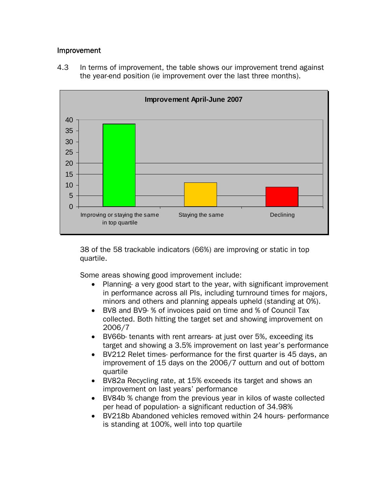#### Improvement





38 of the 58 trackable indicators (66%) are improving or static in top quartile.

Some areas showing good improvement include:

- Planning- a very good start to the year, with significant improvement in performance across all PIs, including turnround times for majors, minors and others and planning appeals upheld (standing at 0%).
- BV8 and BV9- % of invoices paid on time and % of Council Tax collected. Both hitting the target set and showing improvement on 2006/7
- BV66b- tenants with rent arrears- at just over 5%, exceeding its target and showing a 3.5% improvement on last year's performance
- BV212 Relet times- performance for the first quarter is 45 days, an improvement of 15 days on the 2006/7 outturn and out of bottom quartile
- BV82a Recycling rate, at 15% exceeds its target and shows an improvement on last years' performance
- BV84b % change from the previous year in kilos of waste collected per head of population- a significant reduction of 34.98%
- BV218b Abandoned vehicles removed within 24 hours- performance is standing at 100%, well into top quartile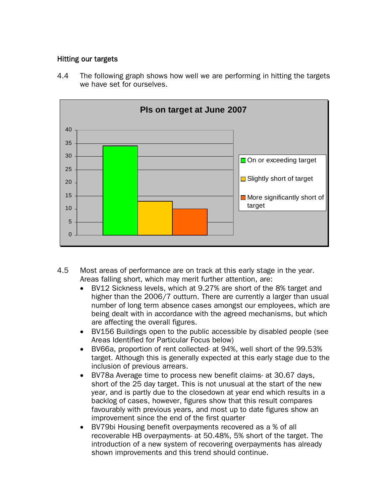## Hitting our targets



4.4 The following graph shows how well we are performing in hitting the targets we have set for ourselves.

- 4.5 Most areas of performance are on track at this early stage in the year. Areas falling short, which may merit further attention, are:
	- BV12 Sickness levels, which at 9.27% are short of the 8% target and higher than the 2006/7 outturn. There are currently a larger than usual number of long term absence cases amongst our employees, which are being dealt with in accordance with the agreed mechanisms, but which are affecting the overall figures.
	- BV156 Buildings open to the public accessible by disabled people (see Areas Identified for Particular Focus below)
	- BV66a, proportion of rent collected- at 94%, well short of the 99.53% target. Although this is generally expected at this early stage due to the inclusion of previous arrears.
	- BV78a Average time to process new benefit claims- at 30.67 days, short of the 25 day target. This is not unusual at the start of the new year, and is partly due to the closedown at year end which results in a backlog of cases, however, figures show that this result compares favourably with previous years, and most up to date figures show an improvement since the end of the first quarter
	- BV79bi Housing benefit overpayments recovered as a % of all recoverable HB overpayments- at 50.48%, 5% short of the target. The introduction of a new system of recovering overpayments has already shown improvements and this trend should continue.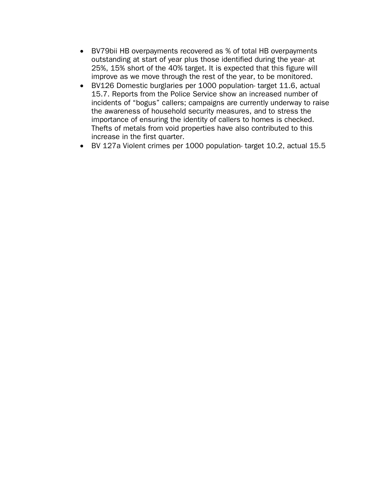- BV79bii HB overpayments recovered as % of total HB overpayments outstanding at start of year plus those identified during the year- at 25%, 15% short of the 40% target. It is expected that this figure will improve as we move through the rest of the year, to be monitored.
- BV126 Domestic burglaries per 1000 population- target 11.6, actual 15.7. Reports from the Police Service show an increased number of incidents of "bogus" callers; campaigns are currently underway to raise the awareness of household security measures, and to stress the importance of ensuring the identity of callers to homes is checked. Thefts of metals from void properties have also contributed to this increase in the first quarter.
- BV 127a Violent crimes per 1000 population- target 10.2, actual 15.5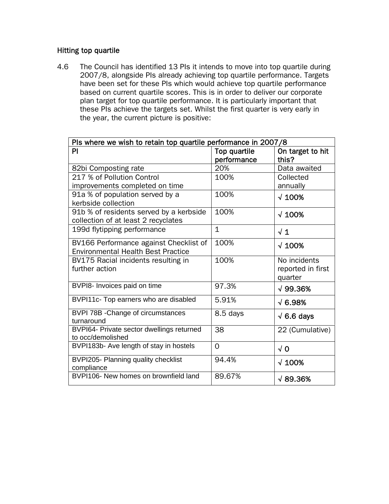## Hitting top quartile

4.6 The Council has identified 13 PIs it intends to move into top quartile during 2007/8, alongside PIs already achieving top quartile performance. Targets have been set for these PIs which would achieve top quartile performance based on current quartile scores. This is in order to deliver our corporate plan target for top quartile performance. It is particularly important that these PIs achieve the targets set. Whilst the first quarter is very early in the year, the current picture is positive:

| Pls where we wish to retain top quartile performance in 2007/8 |              |                   |  |  |  |  |  |
|----------------------------------------------------------------|--------------|-------------------|--|--|--|--|--|
| PI                                                             | Top quartile | On target to hit  |  |  |  |  |  |
|                                                                | performance  | this?             |  |  |  |  |  |
| 82bi Composting rate                                           | 20%          | Data awaited      |  |  |  |  |  |
| 217 % of Pollution Control                                     | 100%         | Collected         |  |  |  |  |  |
| improvements completed on time                                 |              | annually          |  |  |  |  |  |
| 91a % of population served by a                                | 100%         | $\sqrt{100\%}$    |  |  |  |  |  |
| kerbside collection                                            |              |                   |  |  |  |  |  |
| 91b % of residents served by a kerbside                        | 100%         | $\sqrt{100\%}$    |  |  |  |  |  |
| collection of at least 2 recyclates                            |              |                   |  |  |  |  |  |
| 199d flytipping performance                                    | $\mathbf{1}$ | $\sqrt{1}$        |  |  |  |  |  |
| BV166 Performance against Checklist of                         | 100%         | $\sqrt{100\%}$    |  |  |  |  |  |
| <b>Environmental Health Best Practice</b>                      |              |                   |  |  |  |  |  |
| BV175 Racial incidents resulting in                            | 100%         | No incidents      |  |  |  |  |  |
| further action                                                 |              | reported in first |  |  |  |  |  |
|                                                                |              | quarter           |  |  |  |  |  |
| BVPI8- Invoices paid on time                                   | 97.3%        | $\sqrt{99.36\%}$  |  |  |  |  |  |
| BVPI11c- Top earners who are disabled                          | 5.91%        | $\sqrt{6.98\%}$   |  |  |  |  |  |
| BVPI 78B - Change of circumstances                             | 8.5 days     | $\sqrt{6.6}$ days |  |  |  |  |  |
| turnaround                                                     |              |                   |  |  |  |  |  |
| BVPI64- Private sector dwellings returned                      | 38           | 22 (Cumulative)   |  |  |  |  |  |
| to occ/demolished                                              |              |                   |  |  |  |  |  |
| BVPI183b- Ave length of stay in hostels                        | 0            | $\sqrt{0}$        |  |  |  |  |  |
| BVPI205- Planning quality checklist                            | 94.4%        | $\sqrt{100\%}$    |  |  |  |  |  |
| compliance                                                     |              |                   |  |  |  |  |  |
| BVPI106- New homes on brownfield land                          | 89.67%       | $\sqrt{89.36\%}$  |  |  |  |  |  |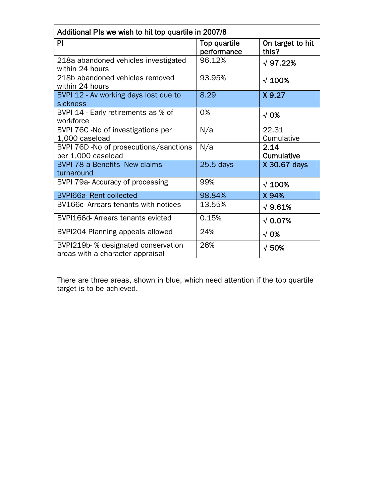| Additional PIs we wish to hit top quartile in 2007/8                   |                             |                           |  |  |  |  |  |
|------------------------------------------------------------------------|-----------------------------|---------------------------|--|--|--|--|--|
| PI                                                                     | Top quartile<br>performance | On target to hit<br>this? |  |  |  |  |  |
| 218a abandoned vehicles investigated<br>within 24 hours                | 96.12%                      | $\sqrt{97.22\%}$          |  |  |  |  |  |
| 218b abandoned vehicles removed<br>within 24 hours                     | 93.95%                      | $\sqrt{100\%}$            |  |  |  |  |  |
| BVPI 12 - Av working days lost due to<br>sickness                      | 8.29                        | X 9.27                    |  |  |  |  |  |
| BVPI 14 - Early retirements as % of<br>workforce                       | 0%                          | $\sqrt{0\%}$              |  |  |  |  |  |
| BVPI 76C - No of investigations per<br>1,000 caseload                  | N/a                         | 22.31<br>Cumulative       |  |  |  |  |  |
| BVPI 76D - No of prosecutions/sanctions<br>per 1,000 caseload          | N/a                         | 2.14<br>Cumulative        |  |  |  |  |  |
| <b>BVPI 78 a Benefits -New claims</b><br>turnaround                    | $25.5$ days                 | X 30.67 days              |  |  |  |  |  |
| BVPI 79a- Accuracy of processing                                       | 99%                         | $\sqrt{100\%}$            |  |  |  |  |  |
| <b>BVPI66a-Rent collected</b>                                          | 98.84%                      | X94%                      |  |  |  |  |  |
| BV166c- Arrears tenants with notices                                   | 13.55%                      | $\sqrt{9.61\%}$           |  |  |  |  |  |
| BVPI166d- Arrears tenants evicted                                      | 0.15%                       | $\sqrt{0.07\%}$           |  |  |  |  |  |
| BVPI204 Planning appeals allowed                                       | 24%                         | $\sqrt{0\%}$              |  |  |  |  |  |
| BVPI219b-% designated conservation<br>areas with a character appraisal | 26%                         | $\sqrt{50\%}$             |  |  |  |  |  |

There are three areas, shown in blue, which need attention if the top quartile target is to be achieved.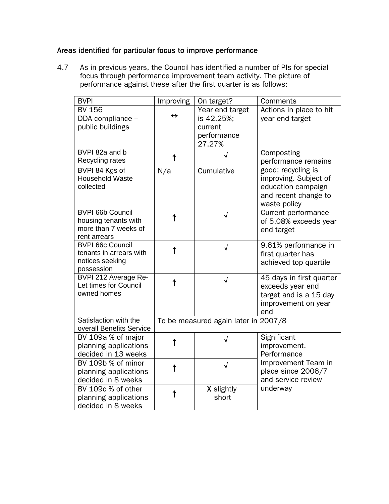## Areas identified for particular focus to improve performance

4.7 As in previous years, the Council has identified a number of PIs for special focus through performance improvement team activity. The picture of performance against these after the first quarter is as follows:

| <b>BVPI</b>                                   | Improving         | On target?                           | Comments                 |
|-----------------------------------------------|-------------------|--------------------------------------|--------------------------|
| <b>BV 156</b>                                 |                   | Year end target                      | Actions in place to hit  |
| DDA compliance -                              | $\leftrightarrow$ | is 42.25%;                           | year end target          |
| public buildings                              |                   | current                              |                          |
|                                               |                   | performance                          |                          |
|                                               |                   | 27.27%                               |                          |
| BVPI 82a and b                                |                   |                                      | Composting               |
| Recycling rates                               | ↑                 |                                      | performance remains      |
| BVPI 84 Kgs of                                | N/a               | Cumulative                           | good; recycling is       |
| <b>Household Waste</b>                        |                   |                                      | improving. Subject of    |
| collected                                     |                   |                                      | education campaign       |
|                                               |                   |                                      | and recent change to     |
|                                               |                   |                                      | waste policy             |
| <b>BVPI 66b Council</b>                       |                   | $\sqrt{}$                            | Current performance      |
| housing tenants with                          | ↑                 |                                      | of 5.08% exceeds year    |
| more than 7 weeks of                          |                   |                                      | end target               |
| rent arrears                                  |                   |                                      |                          |
| <b>BVPI 66c Council</b>                       | ↑                 | $\sqrt{ }$                           | 9.61% performance in     |
| tenants in arrears with                       |                   |                                      | first quarter has        |
| notices seeking                               |                   |                                      | achieved top quartile    |
| possession                                    |                   |                                      |                          |
| BVPI 212 Average Re-<br>Let times for Council | ↑                 | $\sqrt{ }$                           | 45 days in first quarter |
| owned homes                                   |                   |                                      | exceeds year end         |
|                                               |                   |                                      | target and is a 15 day   |
|                                               |                   |                                      | improvement on year      |
| Satisfaction with the                         |                   |                                      | end                      |
| overall Benefits Service                      |                   | To be measured again later in 2007/8 |                          |
| BV 109a % of major                            |                   |                                      | Significant              |
| planning applications                         | ↑                 | √                                    | improvement.             |
| decided in 13 weeks                           |                   |                                      | Performance              |
| BV 109b % of minor                            |                   |                                      | Improvement Team in      |
|                                               | ↑                 | √                                    | place since 2006/7       |
| planning applications<br>decided in 8 weeks   |                   |                                      | and service review       |
| BV 109c % of other                            |                   | X slightly                           | underway                 |
|                                               | ↑                 | short                                |                          |
| planning applications                         |                   |                                      |                          |
| decided in 8 weeks                            |                   |                                      |                          |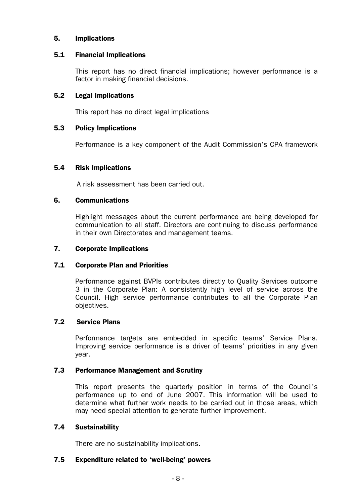### 5. Implications

#### 5.1 Financial Implications

This report has no direct financial implications; however performance is a factor in making financial decisions.

### 5.2 Legal Implications

This report has no direct legal implications

### 5.3 Policy Implications

Performance is a key component of the Audit Commission's CPA framework

#### 5.4 Risk Implications

A risk assessment has been carried out.

#### 6. Communications

Highlight messages about the current performance are being developed for communication to all staff. Directors are continuing to discuss performance in their own Directorates and management teams.

#### 7. Corporate Implications

## 7.1 Corporate Plan and Priorities

Performance against BVPIs contributes directly to Quality Services outcome 3 in the Corporate Plan: A consistently high level of service across the Council. High service performance contributes to all the Corporate Plan objectives.

#### 7.2 Service Plans

Performance targets are embedded in specific teams' Service Plans. Improving service performance is a driver of teams' priorities in any given year.

#### 7.3 Performance Management and Scrutiny

This report presents the quarterly position in terms of the Council's performance up to end of June 2007. This information will be used to determine what further work needs to be carried out in those areas, which may need special attention to generate further improvement.

## 7.4 Sustainability

There are no sustainability implications.

#### 7.5 Expenditure related to 'well-being' powers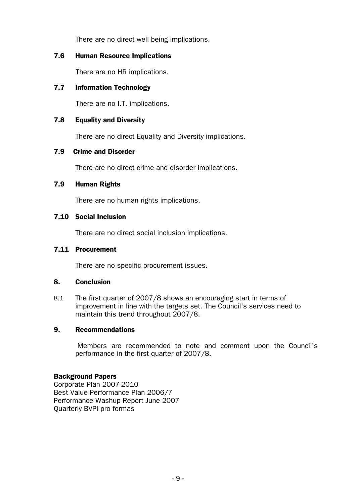There are no direct well being implications.

## 7.6 Human Resource Implications

There are no HR implications.

## 7.7 Information Technology

There are no I.T. implications.

## 7.8 Equality and Diversity

There are no direct Equality and Diversity implications.

## 7.9 Crime and Disorder

There are no direct crime and disorder implications.

## 7.9 Human Rights

There are no human rights implications.

## 7.10 Social Inclusion

There are no direct social inclusion implications.

## 7.11 Procurement

There are no specific procurement issues.

## 8. Conclusion

8.1 The first quarter of 2007/8 shows an encouraging start in terms of improvement in line with the targets set. The Council's services need to maintain this trend throughout 2007/8.

## 9. Recommendations

 Members are recommended to note and comment upon the Council's performance in the first quarter of 2007/8.

## Background Papers

Corporate Plan 2007-2010 Best Value Performance Plan 2006/7 Performance Washup Report June 2007 Quarterly BVPI pro formas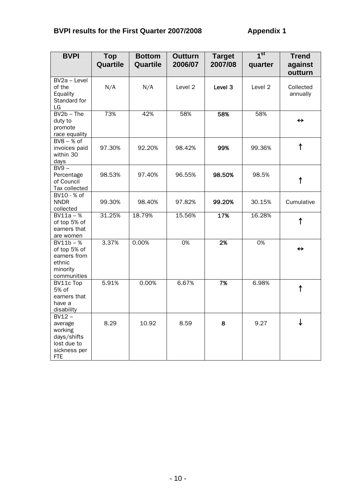# **BVPI results for the First Quarter 2007/2008 Appendix 1**

| <b>BVPI</b>                                                                                | Top<br>Quartile | <b>Bottom</b><br>Quartile | <b>Outturn</b><br>2006/07 | <b>Target</b><br>2007/08 | 1 <sup>st</sup><br>quarter | <b>Trend</b><br>against |
|--------------------------------------------------------------------------------------------|-----------------|---------------------------|---------------------------|--------------------------|----------------------------|-------------------------|
|                                                                                            |                 |                           |                           |                          |                            | outturn                 |
| BV2a - Level<br>of the<br>Equality<br>Standard for<br>LG                                   | N/A             | N/A                       | Level 2                   | Level 3                  | Level 2                    | Collected<br>annually   |
| $BV2b$ – The<br>duty to<br>promote<br>race equality                                        | 73%             | 42%                       | 58%                       | 58%                      | 58%                        | $\leftrightarrow$       |
| $BVS - % of$<br>invoices paid<br>within 30<br>days                                         | 97.30%          | 92.20%                    | 98.42%                    | 99%                      | 99.36%                     | $\uparrow$              |
| $BV9 -$<br>Percentage<br>of Council<br>Tax collected                                       | 98.53%          | 97.40%                    | 96.55%                    | 98.50%                   | 98.5%                      | $\uparrow$              |
| BV10 - % of<br><b>NNDR</b><br>collected                                                    | 99.30%          | 98.40%                    | 97.82%                    | 99.20%                   | 30.15%                     | Cumulative              |
| $BV11a - %$<br>of top 5% of<br>earners that<br>are women                                   | 31.25%          | 18.79%                    | 15.56%                    | 17%                      | 16.28%                     | $\uparrow$              |
| $\overline{BV11b-%}$<br>of top 5% of<br>earners from<br>ethnic<br>minority<br>communities  | 3.37%           | 0.00%                     | 0%                        | 2%                       | 0%                         | $\leftrightarrow$       |
| BV11c Top<br>5% of<br>earners that<br>have a<br>disability                                 | 5.91%           | 0.00%                     | 6.67%                     | 7%                       | 6.98%                      | $\uparrow$              |
| $BV12 -$<br>average<br>working<br>days/shifts<br>lost due to<br>sickness per<br><b>FTE</b> | 8.29            | 10.92                     | 8.59                      | 8                        | 9.27                       | ↓                       |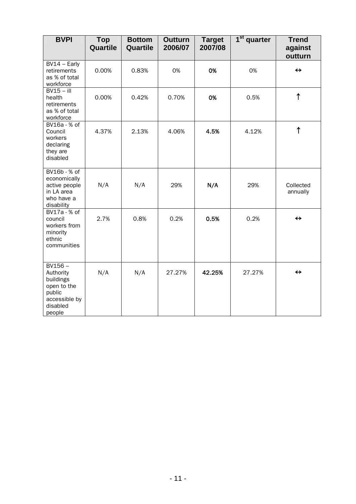| <b>BVPI</b>                                                                                         | <b>Top</b><br>Quartile | <b>Bottom</b><br>Quartile | <b>Outturn</b><br>2006/07 | <b>Target</b><br>2007/08 | 1 <sup>st</sup><br>quarter | <b>Trend</b><br>against<br>outturn |
|-----------------------------------------------------------------------------------------------------|------------------------|---------------------------|---------------------------|--------------------------|----------------------------|------------------------------------|
| $BV14 - Early$<br>retirements<br>as % of total<br>workforce                                         | 0.00%                  | 0.83%                     | 0%                        | 0%                       | 0%                         | $\leftrightarrow$                  |
| $BV15 - III$<br>health<br>retirements<br>as % of total<br>workforce                                 | 0.00%                  | 0.42%                     | 0.70%                     | 0%                       | 0.5%                       | $\uparrow$                         |
| BV16a - % of<br>Council<br>workers<br>declaring<br>they are<br>disabled                             | 4.37%                  | 2.13%                     | 4.06%                     | 4.5%                     | 4.12%                      | $\uparrow$                         |
| BV16b - % of<br>economically<br>active people<br>in LA area<br>who have a<br>disability             | N/A                    | N/A                       | 29%                       | N/A                      | 29%                        | Collected<br>annually              |
| BV17a - % of<br>council<br>workers from<br>minority<br>ethnic<br>communities                        | 2.7%                   | 0.8%                      | 0.2%                      | 0.5%                     | 0.2%                       | $\leftrightarrow$                  |
| $BV156 -$<br>Authority<br>buildings<br>open to the<br>public<br>accessible by<br>disabled<br>people | N/A                    | N/A                       | 27.27%                    | 42.25%                   | 27.27%                     | $\leftrightarrow$                  |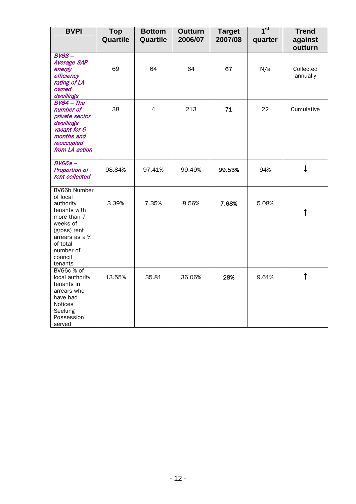| <b>BVPI</b>                                                                                                                                                       | <b>Top</b><br>Quartile | <b>Bottom</b><br>Quartile | <b>Outturn</b><br>2006/07 | <b>Target</b><br>2007/08 | 1 <sup>st</sup><br>quarter | <b>Trend</b><br>against<br>outturn |
|-------------------------------------------------------------------------------------------------------------------------------------------------------------------|------------------------|---------------------------|---------------------------|--------------------------|----------------------------|------------------------------------|
| $BV63 -$<br><b>Average SAP</b><br>energy<br>efficiency<br>rating of LA<br>owned<br>dwellings                                                                      | 69                     | 64                        | 64                        | 67                       | N/a                        | Collected<br>annually              |
| $BV64$ - The<br>number of<br>private sector<br>dwellings<br>vacant for 6<br>months and<br>reoccupied<br>from LA action                                            | 38                     | 4                         | 213                       | 71                       | 22                         | Cumulative                         |
| <b>BV66a-</b><br><b>Proportion of</b><br>rent collected                                                                                                           | 98.84%                 | 97.41%                    | 99.49%                    | 99.53%                   | 94%                        | $\downarrow$                       |
| BV66b Number<br>of local<br>authority<br>tenants with<br>more than 7<br>weeks of<br>(gross) rent<br>arrears as a %<br>of total<br>number of<br>council<br>tenants | 3.39%                  | 7.35%                     | 8.56%                     | 7.68%                    | 5.08%                      | ↑                                  |
| BV66c % of<br>local authority<br>tenants in<br>arrears who<br>have had<br>Notices<br>Seeking<br>Possession<br>served                                              | 13.55%                 | 35.81                     | 36.06%                    | 28%                      | 9.61%                      | $\uparrow$                         |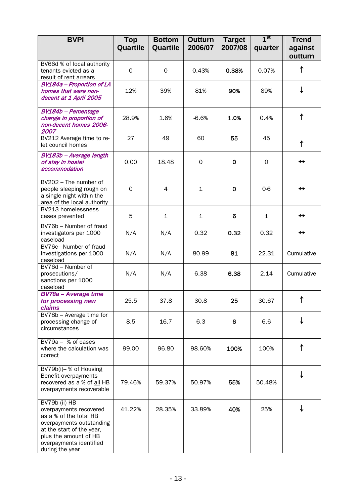| <b>BVPI</b>                                                                                                                                                                                       | <b>Top</b><br>Quartile | <b>Bottom</b><br>Quartile | <b>Outturn</b><br>2006/07 | <b>Target</b><br>2007/08 | 1 <sup>st</sup><br>quarter | <b>Trend</b><br>against<br>outturn |
|---------------------------------------------------------------------------------------------------------------------------------------------------------------------------------------------------|------------------------|---------------------------|---------------------------|--------------------------|----------------------------|------------------------------------|
| BV66d % of local authority<br>tenants evicted as a<br>result of rent arrears                                                                                                                      | $\Omega$               | $\Omega$                  | 0.43%                     | 0.38%                    | 0.07%                      | ↑                                  |
| <b>BV184a - Proportion of LA</b><br>homes that were non-<br>decent at 1 April 2005                                                                                                                | 12%                    | 39%                       | 81%                       | 90%                      | 89%                        | ↓                                  |
| BV184b - Percentage<br>change in proportion of<br>non-decent homes 2006-<br>2007                                                                                                                  | 28.9%                  | 1.6%                      | $-6.6%$                   | 1.0%                     | 0.4%                       | ↑                                  |
| BV212 Average time to re-<br>let council homes                                                                                                                                                    | 27                     | 49                        | 60                        | 55                       | 45                         | $\uparrow$                         |
| BV183b - Average length<br>of stay in hostel<br>accommodation                                                                                                                                     | 0.00                   | 18.48                     | 0                         | $\mathbf 0$              | 0                          | $\leftrightarrow$                  |
| BV202 - The number of<br>people sleeping rough on<br>a single night within the<br>area of the local authority                                                                                     | $\Omega$               | 4                         | $\mathbf{1}$              | $\mathbf 0$              | $0-6$                      | ↔                                  |
| BV213 homelessness<br>cases prevented                                                                                                                                                             | 5                      | $\mathbf{1}$              | $\mathbf{1}$              | 6                        | $\mathbf{1}$               | $\leftrightarrow$                  |
| BV76b - Number of fraud<br>investigators per 1000<br>caseload                                                                                                                                     | N/A                    | N/A                       | 0.32                      | 0.32                     | 0.32                       | $\leftrightarrow$                  |
| BV76c- Number of fraud<br>investigations per 1000<br>caseload                                                                                                                                     | N/A                    | N/A                       | 80.99                     | 81                       | 22.31                      | Cumulative                         |
| BV76d - Number of<br>prosecutions/<br>sanctions per 1000<br>caseload                                                                                                                              | N/A                    | N/A                       | 6.38                      | 6.38                     | 2.14                       | Cumulative                         |
| <b>BV78a</b> - Average time<br>for processing new<br><b>claims</b>                                                                                                                                | 25.5                   | 37.8                      | 30.8                      | 25                       | 30.67                      | ↑                                  |
| BV78b - Average time for<br>processing change of<br>circumstances                                                                                                                                 | 8.5                    | 16.7                      | 6.3                       | 6                        | 6.6                        |                                    |
| $BV79a - % of cases$<br>where the calculation was<br>correct                                                                                                                                      | 99.00                  | 96.80                     | 98.60%                    | 100%                     | 100%                       | ↑                                  |
| BV79b(i)- % of Housing<br>Benefit overpayments<br>recovered as a % of all HB<br>overpayments recoverable                                                                                          | 79.46%                 | 59.37%                    | 50.97%                    | 55%                      | 50.48%                     |                                    |
| BV79b (ii) HB<br>overpayments recovered<br>as a % of the total HB<br>overpayments outstanding<br>at the start of the year,<br>plus the amount of HB<br>overpayments identified<br>during the year | 41.22%                 | 28.35%                    | 33.89%                    | 40%                      | 25%                        |                                    |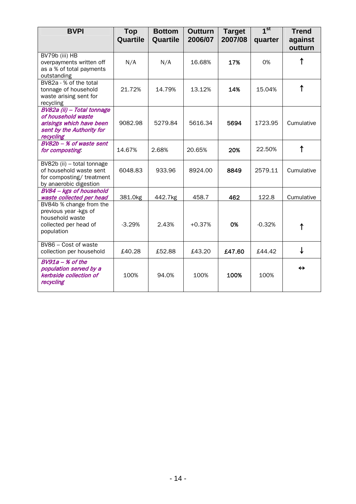| <b>BVPI</b>                                                                                                            | <b>Top</b><br>Quartile | <b>Bottom</b><br>Quartile | <b>Outturn</b><br>2006/07 | <b>Target</b><br>2007/08 | 1 <sup>st</sup><br>quarter | <b>Trend</b><br>against<br>outturn |
|------------------------------------------------------------------------------------------------------------------------|------------------------|---------------------------|---------------------------|--------------------------|----------------------------|------------------------------------|
| BV79b (iii) HB<br>overpayments written off<br>as a % of total payments<br>outstanding                                  | N/A                    | N/A                       | 16.68%                    | 17%                      | 0%                         |                                    |
| BV82a - % of the total<br>tonnage of household<br>waste arising sent for<br>recycling                                  | 21.72%                 | 14.79%                    | 13.12%                    | 14%                      | 15.04%                     | ↑                                  |
| BV82a (ii) - Total tonnage<br>of household waste<br>arisings which have been<br>sent by the Authority for<br>recycling | 9082.98                | 5279.84                   | 5616.34                   | 5694                     | 1723.95                    | Cumulative                         |
| BV82b - % of waste sent<br>for composting                                                                              | 14.67%                 | 2.68%                     | 20.65%                    | 20%                      | 22.50%                     | ↑                                  |
| BV82b (ii) - total tonnage<br>of household waste sent<br>for composting/treatment<br>by anaerobic digestion            | 6048.83                | 933.96                    | 8924.00                   | 8849                     | 2579.11                    | Cumulative                         |
| BV84 - kgs of household<br>waste collected per head                                                                    | 381.0kg                | 442.7kg                   | 458.7                     | 462                      | 122.8                      | Cumulative                         |
| BV84b % change from the<br>previous year -kgs of<br>household waste<br>collected per head of<br>population             | $-3.29%$               | 2.43%                     | $+0.37%$                  | 0%                       | $-0.32%$                   |                                    |
| BV86 - Cost of waste<br>collection per household                                                                       | £40.28                 | £52.88                    | £43.20                    | £47.60                   | £44.42                     | ↓                                  |
| $BV91a - K$ of the<br>population served by a<br>kerbside collection of<br>recycling                                    | 100%                   | 94.0%                     | 100%                      | 100%                     | 100%                       | ↔                                  |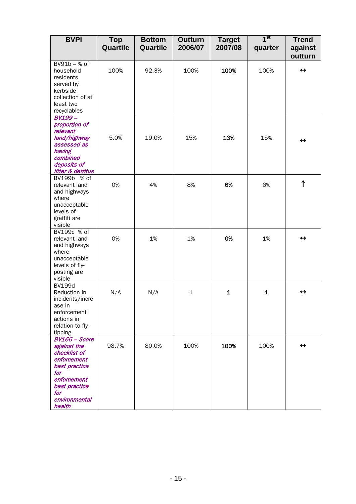| <b>BVPI</b>                                                                                                                                                  | <b>Top</b><br>Quartile | <b>Bottom</b><br>Quartile | <b>Outturn</b><br>2006/07 | <b>Target</b><br>2007/08 | 1 <sup>st</sup><br>quarter | <b>Trend</b><br>against      |
|--------------------------------------------------------------------------------------------------------------------------------------------------------------|------------------------|---------------------------|---------------------------|--------------------------|----------------------------|------------------------------|
| BV91b - % of<br>household<br>residents<br>served by<br>kerbside<br>collection of at<br>least two<br>recyclables                                              | 100%                   | 92.3%                     | 100%                      | 100%                     | 100%                       | outturn<br>$\leftrightarrow$ |
| <b>BV199-</b><br>proportion of<br>relevant<br>land/highway<br>assessed as<br>having<br>combined<br>deposits of<br>litter & detritus                          | 5.0%                   | 19.0%                     | 15%                       | 13%                      | 15%                        | ↔                            |
| BV199b % of<br>relevant land<br>and highways<br>where<br>unacceptable<br>levels of<br>graffiti are<br>visible                                                | 0%                     | 4%                        | 8%                        | 6%                       | 6%                         | $\uparrow$                   |
| BV199c % of<br>relevant land<br>and highways<br>where<br>unacceptable<br>levels of fly-<br>posting are<br>visible                                            | 0%                     | 1%                        | 1%                        | 0%                       | 1%                         | ↔                            |
| <b>BV199d</b><br>Reduction in<br>incidents/incre<br>ase in<br>enforcement<br>actions in<br>relation to fly-<br>tipping                                       | N/A                    | N/A                       | $\mathbf{1}$              | $\mathbf 1$              | $\mathbf{1}$               | ↔                            |
| <b>BV166 - Score</b><br>against the<br>checklist of<br>enforcement<br>best practice<br>for<br>enforcement<br>best practice<br>for<br>environmental<br>health | 98.7%                  | 80.0%                     | 100%                      | 100%                     | 100%                       | $\leftrightarrow$            |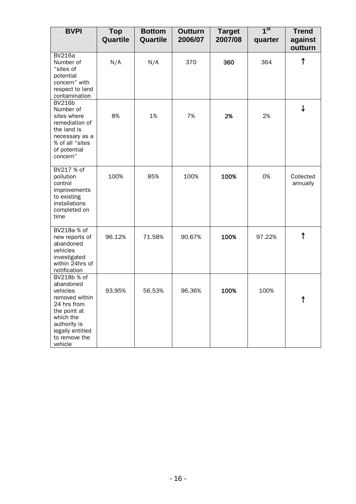| <b>BVPI</b>                                                                                                                                                        | <b>Top</b><br>Quartile | <b>Bottom</b><br>Quartile | <b>Outturn</b><br>2006/07 | <b>Target</b><br>2007/08 | 1 <sup>st</sup><br>quarter | <b>Trend</b><br>against<br>outturn |
|--------------------------------------------------------------------------------------------------------------------------------------------------------------------|------------------------|---------------------------|---------------------------|--------------------------|----------------------------|------------------------------------|
| <b>BV216a</b><br>Number of<br>"sites of<br>potential<br>concern" with<br>respect to land<br>contamination                                                          | N/A                    | N/A                       | 370                       | 360                      | 364                        | ↑                                  |
| <b>BV216b</b><br>Number of<br>sites where<br>remediation of<br>the land is<br>necessary as a<br>% of all "sites<br>of potential<br>concern"                        | 8%                     | 1%                        | 7%                        | 2%                       | 2%                         |                                    |
| BV217 % of<br>pollution<br>control<br>improvements<br>to existing<br>installations<br>completed on<br>time                                                         | 100%                   | 85%                       | 100%                      | 100%                     | 0%                         | Collected<br>annually              |
| BV218a % of<br>new reports of<br>abandoned<br>vehicles<br>investigated<br>within 24hrs of<br>notification                                                          | 96.12%                 | 71.58%                    | 90.67%                    | 100%                     | 97.22%                     | ↑                                  |
| BV218b % of<br>abandoned<br>vehicles<br>removed within<br>24 hrs from<br>the point at<br>which the<br>authority is<br>legally entitled<br>to remove the<br>vehicle | 93.95%                 | 56.53%                    | 96.36%                    | 100%                     | 100%                       |                                    |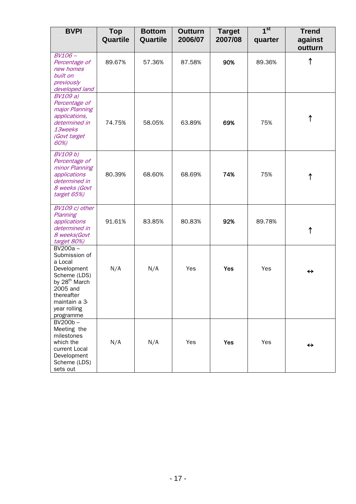| <b>BVPI</b>                                                                                                                                                             | <b>Top</b><br>Quartile | <b>Bottom</b><br>Quartile | <b>Outturn</b><br>2006/07 | <b>Target</b><br>2007/08 | 1 <sup>st</sup><br>quarter | <b>Trend</b><br>against<br>outturn |
|-------------------------------------------------------------------------------------------------------------------------------------------------------------------------|------------------------|---------------------------|---------------------------|--------------------------|----------------------------|------------------------------------|
| BV106-<br>Percentage of<br>new homes<br>built on<br>previously<br>developed land                                                                                        | 89.67%                 | 57.36%                    | 87.58%                    | 90%                      | 89.36%                     |                                    |
| <b>BV109 a)</b><br>Percentage of<br>major Planning<br>applications,<br>determined in<br>13weeks<br>(Govt target<br>60%)                                                 | 74.75%                 | 58.05%                    | 63.89%                    | 69%                      | 75%                        | ↑                                  |
| <b>BV109 b)</b><br>Percentage of<br>minor Planning<br>applications<br>determined in<br>8 weeks (Govt<br>target 65%)                                                     | 80.39%                 | 68.60%                    | 68.69%                    | 74%                      | 75%                        | ↑                                  |
| BV109 c) other<br>Planning<br>applications<br>determined in<br>8 weeks(Govt<br>target 80%)                                                                              | 91.61%                 | 83.85%                    | 80.83%                    | 92%                      | 89.78%                     | ↑                                  |
| BV200a-<br>Submission of<br>a Local<br>Development<br>Scheme (LDS)<br>by 28 <sup>th</sup> March<br>2005 and<br>thereafter<br>maintain a 3-<br>year rolling<br>programme | N/A                    | N/A                       | Yes                       | <b>Yes</b>               | Yes                        | $\leftrightarrow$                  |
| BV200b-<br>Meeting the<br>milestones<br>which the<br>current Local<br>Development<br>Scheme (LDS)<br>sets out                                                           | N/A                    | N/A                       | Yes                       | Yes                      | Yes                        | ↔                                  |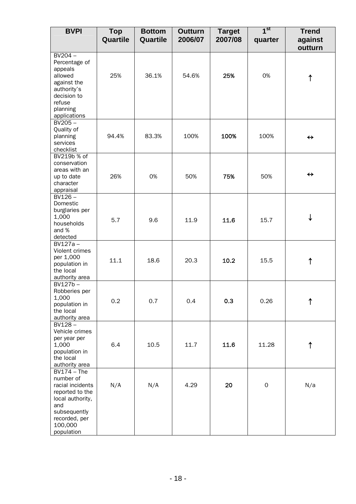| <b>BVPI</b>                                                                                                                                            | <b>Top</b><br>Quartile | <b>Bottom</b><br>Quartile | <b>Outturn</b><br>2006/07 | <b>Target</b><br>2007/08 | 1 <sup>st</sup><br>quarter | <b>Trend</b><br>against<br>outturn |
|--------------------------------------------------------------------------------------------------------------------------------------------------------|------------------------|---------------------------|---------------------------|--------------------------|----------------------------|------------------------------------|
| $BV204 -$<br>Percentage of<br>appeals<br>allowed<br>against the<br>authority's<br>decision to<br>refuse<br>planning<br>applications                    | 25%                    | 36.1%                     | 54.6%                     | 25%                      | 0%                         | ↑                                  |
| $BV205 -$<br>Quality of<br>planning<br>services<br>checklist                                                                                           | 94.4%                  | 83.3%                     | 100%                      | 100%                     | 100%                       | $\leftrightarrow$                  |
| BV219b % of<br>conservation<br>areas with an<br>up to date<br>character<br>appraisal                                                                   | 26%                    | 0%                        | 50%                       | 75%                      | 50%                        | $\leftrightarrow$                  |
| $BV126 -$<br>Domestic<br>burglaries per<br>1,000<br>households<br>and %<br>detected                                                                    | 5.7                    | 9.6                       | 11.9                      | 11.6                     | 15.7                       | ↓                                  |
| $BV127a -$<br>Violent crimes<br>per 1,000<br>population in<br>the local<br>authority area                                                              | 11.1                   | 18.6                      | 20.3                      | 10.2                     | 15.5                       | ↑                                  |
| $BV127b -$<br>Robberies per<br>1,000<br>population in<br>the local<br>authority area                                                                   | 0.2                    | 0.7                       | 0.4                       | 0.3                      | 0.26                       | ↑                                  |
| $BV128 -$<br>Vehicle crimes<br>per year per<br>1,000<br>population in<br>the local<br>authority area                                                   | 6.4                    | 10.5                      | 11.7                      | 11.6                     | 11.28                      | ↑                                  |
| $BV174 - The$<br>number of<br>racial incidents<br>reported to the<br>local authority,<br>and<br>subsequently<br>recorded, per<br>100,000<br>population | N/A                    | N/A                       | 4.29                      | 20                       | $\mathsf{O}\xspace$        | N/a                                |